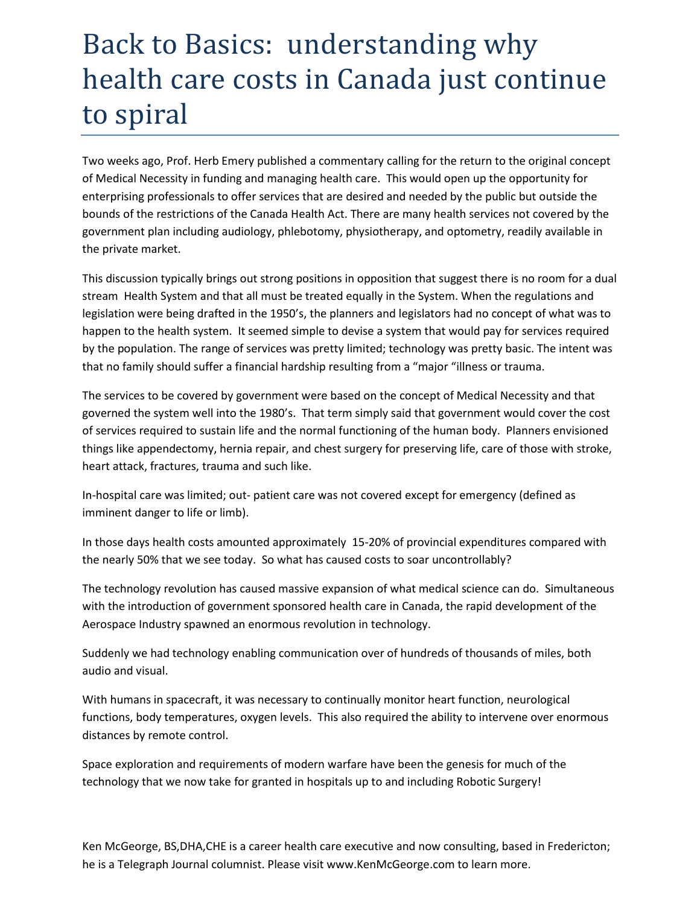## Back to Basics: understanding why health care costs in Canada just continue to spiral

Two weeks ago, Prof. Herb Emery published a commentary calling for the return to the original concept of Medical Necessity in funding and managing health care. This would open up the opportunity for enterprising professionals to offer services that are desired and needed by the public but outside the bounds of the restrictions of the Canada Health Act. There are many health services not covered by the government plan including audiology, phlebotomy, physiotherapy, and optometry, readily available in the private market.

This discussion typically brings out strong positions in opposition that suggest there is no room for a dual stream Health System and that all must be treated equally in the System. When the regulations and legislation were being drafted in the 1950's, the planners and legislators had no concept of what was to happen to the health system. It seemed simple to devise a system that would pay for services required by the population. The range of services was pretty limited; technology was pretty basic. The intent was that no family should suffer a financial hardship resulting from a "major "illness or trauma.

The services to be covered by government were based on the concept of Medical Necessity and that governed the system well into the 1980's. That term simply said that government would cover the cost of services required to sustain life and the normal functioning of the human body. Planners envisioned things like appendectomy, hernia repair, and chest surgery for preserving life, care of those with stroke, heart attack, fractures, trauma and such like.

In-hospital care was limited; out- patient care was not covered except for emergency (defined as imminent danger to life or limb).

In those days health costs amounted approximately 15-20% of provincial expenditures compared with the nearly 50% that we see today. So what has caused costs to soar uncontrollably?

The technology revolution has caused massive expansion of what medical science can do. Simultaneous with the introduction of government sponsored health care in Canada, the rapid development of the Aerospace Industry spawned an enormous revolution in technology.

Suddenly we had technology enabling communication over of hundreds of thousands of miles, both audio and visual.

With humans in spacecraft, it was necessary to continually monitor heart function, neurological functions, body temperatures, oxygen levels. This also required the ability to intervene over enormous distances by remote control.

Space exploration and requirements of modern warfare have been the genesis for much of the technology that we now take for granted in hospitals up to and including Robotic Surgery!

Ken McGeorge, BS,DHA,CHE is a career health care executive and now consulting, based in Fredericton; he is a Telegraph Journal columnist. Please visit www.KenMcGeorge.com to learn more.